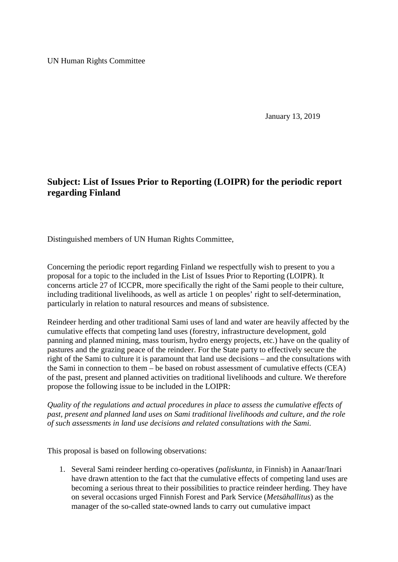UN Human Rights Committee

January 13, 2019

## **Subject: List of Issues Prior to Reporting (LOIPR) for the periodic report regarding Finland**

Distinguished members of UN Human Rights Committee,

Concerning the periodic report regarding Finland we respectfully wish to present to you a proposal for a topic to the included in the List of Issues Prior to Reporting (LOIPR). It concerns article 27 of ICCPR, more specifically the right of the Sami people to their culture, including traditional livelihoods, as well as article 1 on peoples' right to self-determination, particularly in relation to natural resources and means of subsistence.

Reindeer herding and other traditional Sami uses of land and water are heavily affected by the cumulative effects that competing land uses (forestry, infrastructure development, gold panning and planned mining, mass tourism, hydro energy projects, etc.) have on the quality of pastures and the grazing peace of the reindeer. For the State party to effectively secure the right of the Sami to culture it is paramount that land use decisions – and the consultations with the Sami in connection to them – be based on robust assessment of cumulative effects (CEA) of the past, present and planned activities on traditional livelihoods and culture. We therefore propose the following issue to be included in the LOIPR:

*Quality of the regulations and actual procedures in place to assess the cumulative effects of past, present and planned land uses on Sami traditional livelihoods and culture, and the role of such assessments in land use decisions and related consultations with the Sami.*

This proposal is based on following observations:

1. Several Sami reindeer herding co-operatives (*paliskunta*, in Finnish) in Aanaar/Inari have drawn attention to the fact that the cumulative effects of competing land uses are becoming a serious threat to their possibilities to practice reindeer herding. They have on several occasions urged Finnish Forest and Park Service (*Metsähallitus*) as the manager of the so-called state-owned lands to carry out cumulative impact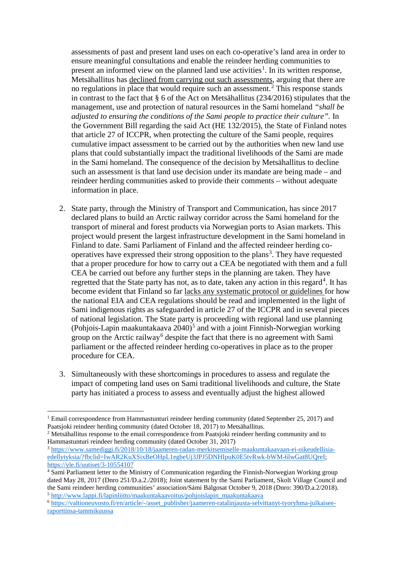assessments of past and present land uses on each co-operative's land area in order to ensure meaningful consultations and enable the reindeer herding communities to present an informed view on the planned land use activities<sup>[1](#page-1-0)</sup>. In its written response, Metsähallitus has declined from carrying out such assessments, arguing that there are no regulations in place that would require such an assessment. [2](#page-1-1) This response stands in contrast to the fact that § 6 of the Act on Metsähallitus (234/2016) stipulates that the management, use and protection of natural resources in the Sami homeland *"shall be adjusted to ensuring the conditions of the Sami people to practice their culture".* In the Government Bill regarding the said Act (HE 132/2015), the State of Finland notes that article 27 of ICCPR, when protecting the culture of the Sami people, requires cumulative impact assessment to be carried out by the authorities when new land use plans that could substantially impact the traditional livelihoods of the Sami are made in the Sami homeland. The consequence of the decision by Metsähallitus to decline such an assessment is that land use decision under its mandate are being made – and reindeer herding communities asked to provide their comments – without adequate information in place.

- 2. State party, through the Ministry of Transport and Communication, has since 2017 declared plans to build an Arctic railway corridor across the Sami homeland for the transport of mineral and forest products via Norwegian ports to Asian markets. This project would present the largest infrastructure development in the Sami homeland in Finland to date. Sami Parliament of Finland and the affected reindeer herding co-operatives have expressed their strong opposition to the plans<sup>[3](#page-1-2)</sup>. They have requested that a proper procedure for how to carry out a CEA be negotiated with them and a full CEA be carried out before any further steps in the planning are taken. They have regretted that the State party has not, as to date, taken any action in this regard<sup>[4](#page-1-3)</sup>. It has become evident that Finland so far lacks any systematic protocol or guidelines for how the national EIA and CEA regulations should be read and implemented in the light of Sami indigenous rights as safeguarded in article 27 of the ICCPR and in several pieces of national legislation. The State party is proceeding with regional land use planning (Pohjois-Lapin maakuntakaava  $2040$ )<sup>[5](#page-1-4)</sup> and with a joint Finnish-Norwegian working group on the Arctic railway<sup>[6](#page-1-5)</sup> despite the fact that there is no agreement with Sami parliament or the affected reindeer herding co-operatives in place as to the proper procedure for CEA.
- 3. Simultaneously with these shortcomings in procedures to assess and regulate the impact of competing land uses on Sami traditional livelihoods and culture, the State party has initiated a process to assess and eventually adjust the highest allowed

<span id="page-1-0"></span><sup>&</sup>lt;sup>1</sup> Email correspondence from Hammastunturi reindeer herding community (dated September 25, 2017) and Paatsjoki reindeer herding community (dated October 18, 2017) to Metsähallitus.

<span id="page-1-1"></span><sup>&</sup>lt;sup>2</sup> Metsähallitus response to the email correspondence from Paatsjoki reindeer herding community and to Hammastunturi reindeer herding community (dated October 31, 2017)

<span id="page-1-2"></span><sup>3</sup> [https://www.samediggi.fi/2018/10/18/jaameren-radan-merkitsemiselle-maakuntakaavaan-ei-oikeudellisia](https://www.samediggi.fi/2018/10/18/jaameren-radan-merkitsemiselle-maakuntakaavaan-ei-oikeudellisia-edellytyksia/?fbclid=IwAR2KuXSixBeOHpL1egbeUj3JPJ5DNHIpuK0E5tvRwk-bWM-6lwGat8UQreI)edellytyksia/?fbclid=IwAR2KuXSixBeOHpL1egbeUj3JPJ5DNHIpuK0E5tvRwk-bWM-6lwGat8UOreI; <https://yle.fi/uutiset/3-10554107>

<span id="page-1-3"></span><sup>&</sup>lt;sup>4</sup> Sami Parliament letter to the Ministry of Communication regarding the Finnish-Norwegian Working group dated May 28, 2017 (Dnro 251/D.a.2./2018); Joint statement by the Sami Parliament, Skolt Village Council and the Sami reindeer herding communities' association/Sámi Bálgosat October 9, 2018 (Dnro: 390/D.a.2/2018). <sup>5</sup> [http://www.lappi.fi/lapinliitto/maakuntakaavoitus/pohjoislapin\\_maakuntakaava](http://www.lappi.fi/lapinliitto/maakuntakaavoitus/pohjoislapin_maakuntakaava)

<span id="page-1-5"></span><span id="page-1-4"></span><sup>6</sup> [https://valtioneuvosto.fi/en/article/-/asset\\_publisher/jaameren-ratalinjausta-selvittanyt-tyoryhma-julkaisee](https://valtioneuvosto.fi/en/article/-/asset_publisher/jaameren-ratalinjausta-selvittanyt-tyoryhma-julkaisee-raporttinsa-tammikuussa)[raporttinsa-tammikuussa](https://valtioneuvosto.fi/en/article/-/asset_publisher/jaameren-ratalinjausta-selvittanyt-tyoryhma-julkaisee-raporttinsa-tammikuussa)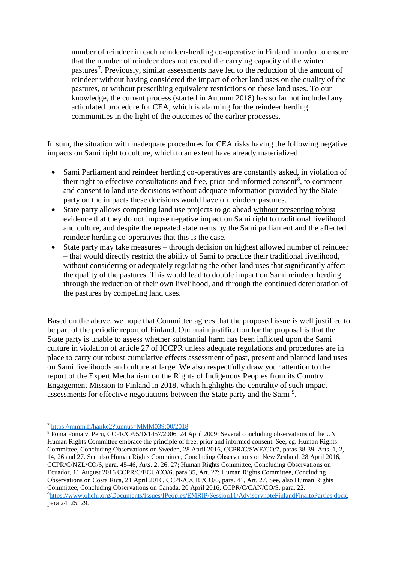number of reindeer in each reindeer-herding co-operative in Finland in order to ensure that the number of reindeer does not exceed the carrying capacity of the winter pastures<sup>[7](#page-2-0)</sup>. Previously, similar assessments have led to the reduction of the amount of reindeer without having considered the impact of other land uses on the quality of the pastures, or without prescribing equivalent restrictions on these land uses. To our knowledge, the current process (started in Autumn 2018) has so far not included any articulated procedure for CEA, which is alarming for the reindeer herding communities in the light of the outcomes of the earlier processes.

In sum, the situation with inadequate procedures for CEA risks having the following negative impacts on Sami right to culture, which to an extent have already materialized:

- Sami Parliament and reindeer herding co-operatives are constantly asked, in violation of their right to effective consultations and free, prior and informed consent<sup>[8](#page-2-1)</sup>, to comment and consent to land use decisions without adequate information provided by the State party on the impacts these decisions would have on reindeer pastures.
- State party allows competing land use projects to go ahead without presenting robust evidence that they do not impose negative impact on Sami right to traditional livelihood and culture, and despite the repeated statements by the Sami parliament and the affected reindeer herding co-operatives that this is the case.
- State party may take measures through decision on highest allowed number of reindeer – that would directly restrict the ability of Sami to practice their traditional livelihood, without considering or adequately regulating the other land uses that significantly affect the quality of the pastures. This would lead to double impact on Sami reindeer herding through the reduction of their own livelihood, and through the continued deterioration of the pastures by competing land uses.

Based on the above, we hope that Committee agrees that the proposed issue is well justified to be part of the periodic report of Finland. Our main justification for the proposal is that the State party is unable to assess whether substantial harm has been inflicted upon the Sami culture in violation of article 27 of ICCPR unless adequate regulations and procedures are in place to carry out robust cumulative effects assessment of past, present and planned land uses on Sami livelihoods and culture at large. We also respectfully draw your attention to the report of the Expert Mechanism on the Rights of Indigenous Peoples from its Country Engagement Mission to Finland in 2018, which highlights the centrality of such impact assessments for effective negotiations between the State party and the Sami<sup>[9](#page-2-2)</sup>.

 <sup>7</sup> <https://mmm.fi/hanke2?tunnus=MMM039:00/2018>

<span id="page-2-2"></span><span id="page-2-1"></span><span id="page-2-0"></span><sup>&</sup>lt;sup>8</sup> Poma Poma v. Peru, CCPR/C/95/D/1457/2006, 24 April 2009; Several concluding observations of the UN Human Rights Committee embrace the principle of free, prior and informed consent. See, eg. Human Rights Committee, Concluding Observations on Sweden, 28 April 2016, CCPR/C/SWE/CO/7, paras 38-39. Arts. 1, 2, 14, 26 and 27. See also Human Rights Committee, Concluding Observations on New Zealand, 28 April 2016, CCPR/C/NZL/CO/6, para. 45-46, Arts. 2, 26, 27; Human Rights Committee, Concluding Observations on Ecuador, 11 August 2016 CCPR/C/ECU/CO/6, para 35, Art. 27; Human Rights Committee, Concluding Observations on Costa Rica, 21 April 2016, CCPR/C/CRI/CO/6, para. 41, Art. 27. See, also Human Rights Committee, Concluding Observations on Canada, 20 April 2016, CCPR/C/CAN/CO/S, para. 22. <sup>9</sup>https://www.ohchr.org/Documents/Issues/IPeoples/EMRIP/Session11/AdvisorynoteFinlandFinaltoParties.docx, para 24, 25, 29.